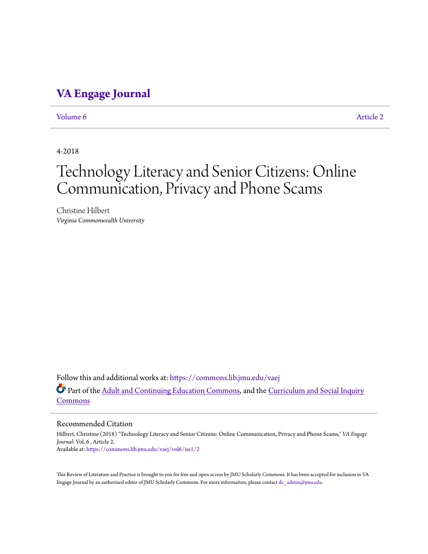## **[VA Engage Journal](https://commons.lib.jmu.edu/vaej?utm_source=commons.lib.jmu.edu%2Fvaej%2Fvol6%2Fiss1%2F2&utm_medium=PDF&utm_campaign=PDFCoverPages)**

[Volume 6](https://commons.lib.jmu.edu/vaej/vol6?utm_source=commons.lib.jmu.edu%2Fvaej%2Fvol6%2Fiss1%2F2&utm_medium=PDF&utm_campaign=PDFCoverPages) [Article 2](https://commons.lib.jmu.edu/vaej/vol6/iss1/2?utm_source=commons.lib.jmu.edu%2Fvaej%2Fvol6%2Fiss1%2F2&utm_medium=PDF&utm_campaign=PDFCoverPages)

4-2018

# Technology Literacy and Senior Citizens: Online Communication, Privacy and Phone Scams

Christine Hilbert *Virginia Commonwealth University*

Follow this and additional works at: [https://commons.lib.jmu.edu/vaej](https://commons.lib.jmu.edu/vaej?utm_source=commons.lib.jmu.edu%2Fvaej%2Fvol6%2Fiss1%2F2&utm_medium=PDF&utm_campaign=PDFCoverPages) Part of the [Adult and Continuing Education Commons](http://network.bepress.com/hgg/discipline/1375?utm_source=commons.lib.jmu.edu%2Fvaej%2Fvol6%2Fiss1%2F2&utm_medium=PDF&utm_campaign=PDFCoverPages), and the [Curriculum and Social Inquiry](http://network.bepress.com/hgg/discipline/1038?utm_source=commons.lib.jmu.edu%2Fvaej%2Fvol6%2Fiss1%2F2&utm_medium=PDF&utm_campaign=PDFCoverPages) [Commons](http://network.bepress.com/hgg/discipline/1038?utm_source=commons.lib.jmu.edu%2Fvaej%2Fvol6%2Fiss1%2F2&utm_medium=PDF&utm_campaign=PDFCoverPages)

#### Recommended Citation

Hilbert, Christine (2018) "Technology Literacy and Senior Citizens: Online Communication, Privacy and Phone Scams," *VA Engage Journal*: Vol. 6 , Article 2. Available at: [https://commons.lib.jmu.edu/vaej/vol6/iss1/2](https://commons.lib.jmu.edu/vaej/vol6/iss1/2?utm_source=commons.lib.jmu.edu%2Fvaej%2Fvol6%2Fiss1%2F2&utm_medium=PDF&utm_campaign=PDFCoverPages)

This Review of Literature and Practice is brought to you for free and open access by JMU Scholarly Commons. It has been accepted for inclusion in VA Engage Journal by an authorized editor of JMU Scholarly Commons. For more information, please contact [dc\\_admin@jmu.edu.](mailto:dc_admin@jmu.edu)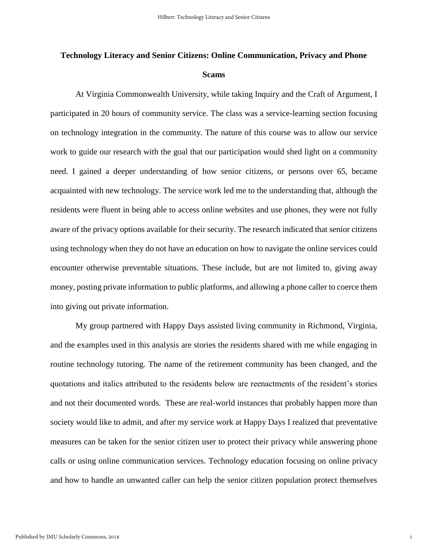# **Technology Literacy and Senior Citizens: Online Communication, Privacy and Phone Scams**

At Virginia Commonwealth University, while taking Inquiry and the Craft of Argument, I participated in 20 hours of community service. The class was a service-learning section focusing on technology integration in the community. The nature of this course was to allow our service work to guide our research with the goal that our participation would shed light on a community need. I gained a deeper understanding of how senior citizens, or persons over 65, became acquainted with new technology. The service work led me to the understanding that, although the residents were fluent in being able to access online websites and use phones, they were not fully aware of the privacy options available for their security. The research indicated that senior citizens using technology when they do not have an education on how to navigate the online services could encounter otherwise preventable situations. These include, but are not limited to, giving away money, posting private information to public platforms, and allowing a phone caller to coerce them into giving out private information.

My group partnered with Happy Days assisted living community in Richmond, Virginia, and the examples used in this analysis are stories the residents shared with me while engaging in routine technology tutoring. The name of the retirement community has been changed, and the quotations and italics attributed to the residents below are reenactments of the resident's stories and not their documented words. These are real-world instances that probably happen more than society would like to admit, and after my service work at Happy Days I realized that preventative measures can be taken for the senior citizen user to protect their privacy while answering phone calls or using online communication services. Technology education focusing on online privacy and how to handle an unwanted caller can help the senior citizen population protect themselves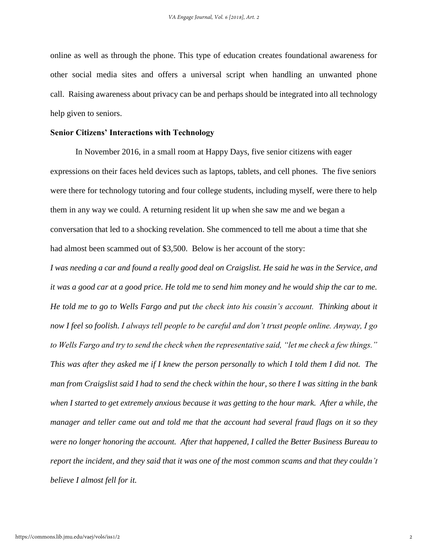online as well as through the phone. This type of education creates foundational awareness for other social media sites and offers a universal script when handling an unwanted phone call. Raising awareness about privacy can be and perhaps should be integrated into all technology help given to seniors.

#### **Senior Citizens' Interactions with Technology**

In November 2016, in a small room at Happy Days, five senior citizens with eager expressions on their faces held devices such as laptops, tablets, and cell phones. The five seniors were there for technology tutoring and four college students, including myself, were there to help them in any way we could. A returning resident lit up when she saw me and we began a conversation that led to a shocking revelation. She commenced to tell me about a time that she had almost been scammed out of \$3,500. Below is her account of the story:

*I was needing a car and found a really good deal on Craigslist. He said he was in the Service, and it was a good car at a good price. He told me to send him money and he would ship the car to me. He told me to go to Wells Fargo and put the check into his cousin's account. Thinking about it now I feel so foolish. I always tell people to be careful and don't trust people online. Anyway, I go to Wells Fargo and try to send the check when the representative said, "let me check a few things." This was after they asked me if I knew the person personally to which I told them I did not. The man from Craigslist said I had to send the check within the hour, so there I was sitting in the bank when I started to get extremely anxious because it was getting to the hour mark. After a while, the manager and teller came out and told me that the account had several fraud flags on it so they were no longer honoring the account. After that happened, I called the Better Business Bureau to report the incident, and they said that it was one of the most common scams and that they couldn't believe I almost fell for it.*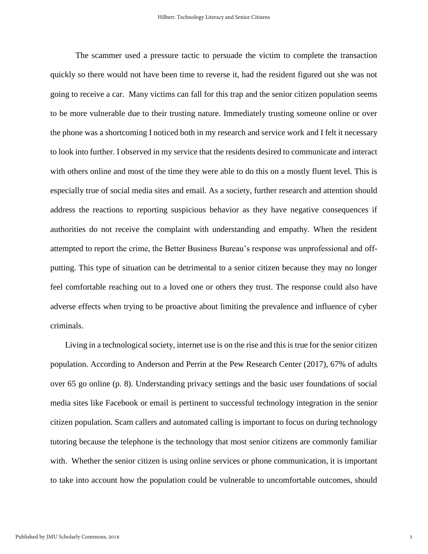The scammer used a pressure tactic to persuade the victim to complete the transaction quickly so there would not have been time to reverse it, had the resident figured out she was not going to receive a car. Many victims can fall for this trap and the senior citizen population seems to be more vulnerable due to their trusting nature. Immediately trusting someone online or over the phone was a shortcoming I noticed both in my research and service work and I felt it necessary to look into further. I observed in my service that the residents desired to communicate and interact with others online and most of the time they were able to do this on a mostly fluent level. This is especially true of social media sites and email. As a society, further research and attention should address the reactions to reporting suspicious behavior as they have negative consequences if authorities do not receive the complaint with understanding and empathy. When the resident attempted to report the crime, the Better Business Bureau's response was unprofessional and offputting. This type of situation can be detrimental to a senior citizen because they may no longer feel comfortable reaching out to a loved one or others they trust. The response could also have adverse effects when trying to be proactive about limiting the prevalence and influence of cyber criminals.

 Living in a technological society, internet use is on the rise and this is true for the senior citizen population. According to Anderson and Perrin at the Pew Research Center (2017), 67% of adults over 65 go online (p. 8). Understanding privacy settings and the basic user foundations of social media sites like Facebook or email is pertinent to successful technology integration in the senior citizen population. Scam callers and automated calling is important to focus on during technology tutoring because the telephone is the technology that most senior citizens are commonly familiar with. Whether the senior citizen is using online services or phone communication, it is important to take into account how the population could be vulnerable to uncomfortable outcomes, should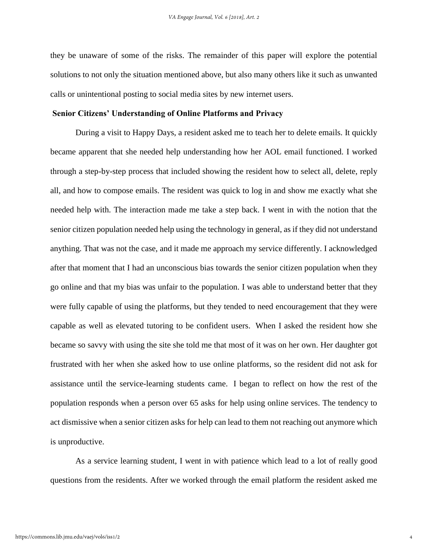they be unaware of some of the risks. The remainder of this paper will explore the potential solutions to not only the situation mentioned above, but also many others like it such as unwanted calls or unintentional posting to social media sites by new internet users.

### **Senior Citizens' Understanding of Online Platforms and Privacy**

During a visit to Happy Days, a resident asked me to teach her to delete emails. It quickly became apparent that she needed help understanding how her AOL email functioned. I worked through a step-by-step process that included showing the resident how to select all, delete, reply all, and how to compose emails. The resident was quick to log in and show me exactly what she needed help with. The interaction made me take a step back. I went in with the notion that the senior citizen population needed help using the technology in general, as if they did not understand anything. That was not the case, and it made me approach my service differently. I acknowledged after that moment that I had an unconscious bias towards the senior citizen population when they go online and that my bias was unfair to the population. I was able to understand better that they were fully capable of using the platforms, but they tended to need encouragement that they were capable as well as elevated tutoring to be confident users. When I asked the resident how she became so savvy with using the site she told me that most of it was on her own. Her daughter got frustrated with her when she asked how to use online platforms, so the resident did not ask for assistance until the service-learning students came. I began to reflect on how the rest of the population responds when a person over 65 asks for help using online services. The tendency to act dismissive when a senior citizen asks for help can lead to them not reaching out anymore which is unproductive.

As a service learning student, I went in with patience which lead to a lot of really good questions from the residents. After we worked through the email platform the resident asked me

4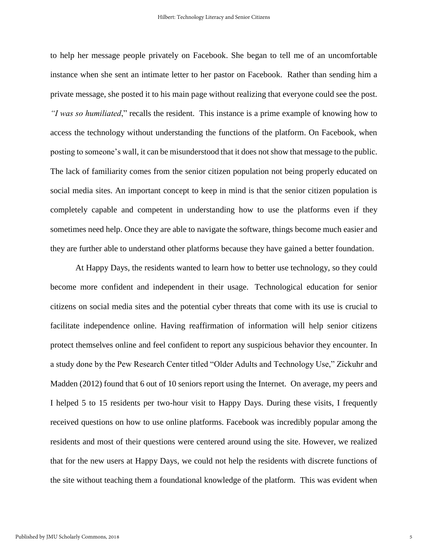to help her message people privately on Facebook. She began to tell me of an uncomfortable instance when she sent an intimate letter to her pastor on Facebook. Rather than sending him a private message, she posted it to his main page without realizing that everyone could see the post. *"I was so humiliated*," recalls the resident. This instance is a prime example of knowing how to access the technology without understanding the functions of the platform. On Facebook, when posting to someone's wall, it can be misunderstood that it does not show that message to the public. The lack of familiarity comes from the senior citizen population not being properly educated on social media sites. An important concept to keep in mind is that the senior citizen population is completely capable and competent in understanding how to use the platforms even if they sometimes need help. Once they are able to navigate the software, things become much easier and they are further able to understand other platforms because they have gained a better foundation.

At Happy Days, the residents wanted to learn how to better use technology, so they could become more confident and independent in their usage. Technological education for senior citizens on social media sites and the potential cyber threats that come with its use is crucial to facilitate independence online. Having reaffirmation of information will help senior citizens protect themselves online and feel confident to report any suspicious behavior they encounter. In a study done by the Pew Research Center titled "Older Adults and Technology Use," Zickuhr and Madden (2012) found that 6 out of 10 seniors report using the Internet. On average, my peers and I helped 5 to 15 residents per two-hour visit to Happy Days. During these visits, I frequently received questions on how to use online platforms. Facebook was incredibly popular among the residents and most of their questions were centered around using the site. However, we realized that for the new users at Happy Days, we could not help the residents with discrete functions of the site without teaching them a foundational knowledge of the platform. This was evident when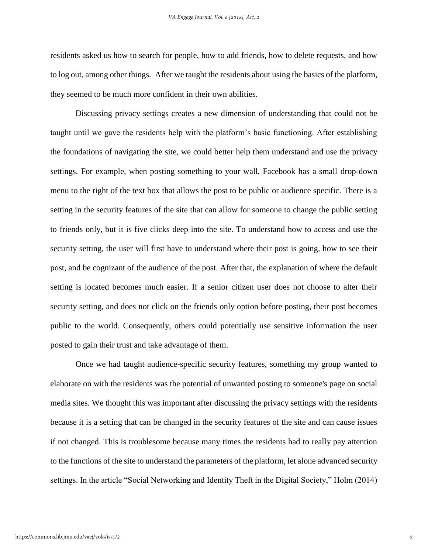residents asked us how to search for people, how to add friends, how to delete requests, and how to log out, among other things. After we taught the residents about using the basics of the platform, they seemed to be much more confident in their own abilities.

Discussing privacy settings creates a new dimension of understanding that could not be taught until we gave the residents help with the platform's basic functioning. After establishing the foundations of navigating the site, we could better help them understand and use the privacy settings. For example, when posting something to your wall, Facebook has a small drop-down menu to the right of the text box that allows the post to be public or audience specific. There is a setting in the security features of the site that can allow for someone to change the public setting to friends only, but it is five clicks deep into the site. To understand how to access and use the security setting, the user will first have to understand where their post is going, how to see their post, and be cognizant of the audience of the post. After that, the explanation of where the default setting is located becomes much easier. If a senior citizen user does not choose to alter their security setting, and does not click on the friends only option before posting, their post becomes public to the world. Consequently, others could potentially use sensitive information the user posted to gain their trust and take advantage of them.

Once we had taught audience-specific security features, something my group wanted to elaborate on with the residents was the potential of unwanted posting to someone's page on social media sites. We thought this was important after discussing the privacy settings with the residents because it is a setting that can be changed in the security features of the site and can cause issues if not changed. This is troublesome because many times the residents had to really pay attention to the functions of the site to understand the parameters of the platform, let alone advanced security settings. In the article "Social Networking and Identity Theft in the Digital Society," Holm (2014)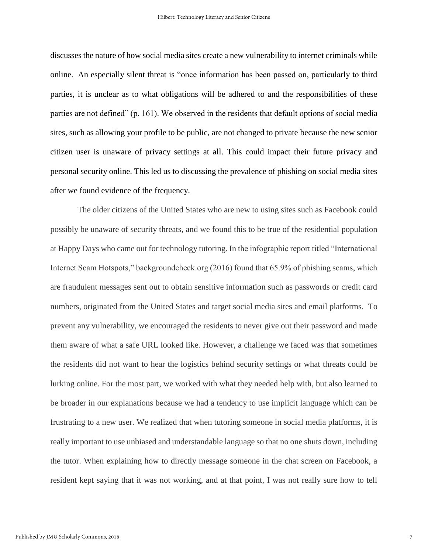discusses the nature of how social media sites create a new vulnerability to internet criminals while online. An especially silent threat is "once information has been passed on, particularly to third parties, it is unclear as to what obligations will be adhered to and the responsibilities of these parties are not defined" (p. 161). We observed in the residents that default options of social media sites, such as allowing your profile to be public, are not changed to private because the new senior citizen user is unaware of privacy settings at all. This could impact their future privacy and personal security online. This led us to discussing the prevalence of phishing on social media sites after we found evidence of the frequency.

The older citizens of the United States who are new to using sites such as Facebook could possibly be unaware of security threats, and we found this to be true of the residential population at Happy Days who came out for technology tutoring. In the infographic report titled "International Internet Scam Hotspots," backgroundcheck.org (2016) found that 65.9% of phishing scams, which are fraudulent messages sent out to obtain sensitive information such as passwords or credit card numbers, originated from the United States and target social media sites and email platforms. To prevent any vulnerability, we encouraged the residents to never give out their password and made them aware of what a safe URL looked like. However, a challenge we faced was that sometimes the residents did not want to hear the logistics behind security settings or what threats could be lurking online. For the most part, we worked with what they needed help with, but also learned to be broader in our explanations because we had a tendency to use implicit language which can be frustrating to a new user. We realized that when tutoring someone in social media platforms, it is really important to use unbiased and understandable language so that no one shuts down, including the tutor. When explaining how to directly message someone in the chat screen on Facebook, a resident kept saying that it was not working, and at that point, I was not really sure how to tell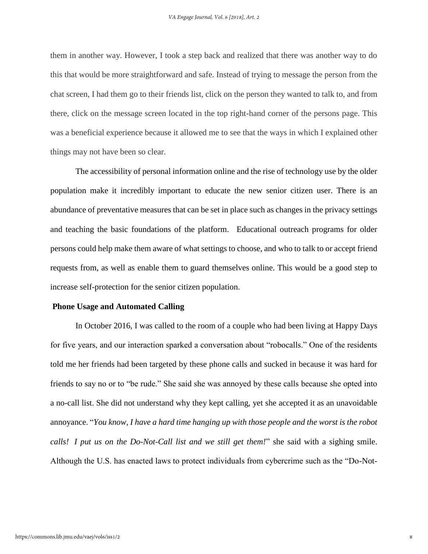them in another way. However, I took a step back and realized that there was another way to do this that would be more straightforward and safe. Instead of trying to message the person from the chat screen, I had them go to their friends list, click on the person they wanted to talk to, and from there, click on the message screen located in the top right-hand corner of the persons page. This was a beneficial experience because it allowed me to see that the ways in which I explained other things may not have been so clear.

The accessibility of personal information online and the rise of technology use by the older population make it incredibly important to educate the new senior citizen user. There is an abundance of preventative measures that can be set in place such as changes in the privacy settings and teaching the basic foundations of the platform. Educational outreach programs for older persons could help make them aware of what settings to choose, and who to talk to or accept friend requests from, as well as enable them to guard themselves online. This would be a good step to increase self-protection for the senior citizen population.

#### **Phone Usage and Automated Calling**

In October 2016, I was called to the room of a couple who had been living at Happy Days for five years, and our interaction sparked a conversation about "robocalls." One of the residents told me her friends had been targeted by these phone calls and sucked in because it was hard for friends to say no or to "be rude." She said she was annoyed by these calls because she opted into a no-call list. She did not understand why they kept calling, yet she accepted it as an unavoidable annoyance. "*You know, I have a hard time hanging up with those people and the worst is the robot calls! I put us on the Do-Not-Call list and we still get them!*" she said with a sighing smile. Although the U.S. has enacted laws to protect individuals from cybercrime such as the "Do-Not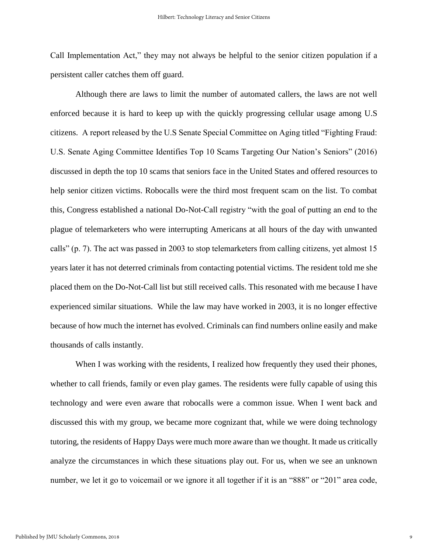Call Implementation Act," they may not always be helpful to the senior citizen population if a persistent caller catches them off guard.

Although there are laws to limit the number of automated callers, the laws are not well enforced because it is hard to keep up with the quickly progressing cellular usage among U.S citizens. A report released by the U.S Senate Special Committee on Aging titled "Fighting Fraud: U.S. Senate Aging Committee Identifies Top 10 Scams Targeting Our Nation's Seniors" (2016) discussed in depth the top 10 scams that seniors face in the United States and offered resources to help senior citizen victims. Robocalls were the third most frequent scam on the list. To combat this, Congress established a national Do-Not-Call registry "with the goal of putting an end to the plague of telemarketers who were interrupting Americans at all hours of the day with unwanted calls" (p. 7). The act was passed in 2003 to stop telemarketers from calling citizens, yet almost 15 years later it has not deterred criminals from contacting potential victims. The resident told me she placed them on the Do-Not-Call list but still received calls. This resonated with me because I have experienced similar situations. While the law may have worked in 2003, it is no longer effective because of how much the internet has evolved. Criminals can find numbers online easily and make thousands of calls instantly.

When I was working with the residents, I realized how frequently they used their phones, whether to call friends, family or even play games. The residents were fully capable of using this technology and were even aware that robocalls were a common issue. When I went back and discussed this with my group, we became more cognizant that, while we were doing technology tutoring, the residents of Happy Days were much more aware than we thought. It made us critically analyze the circumstances in which these situations play out. For us, when we see an unknown number, we let it go to voicemail or we ignore it all together if it is an "888" or "201" area code,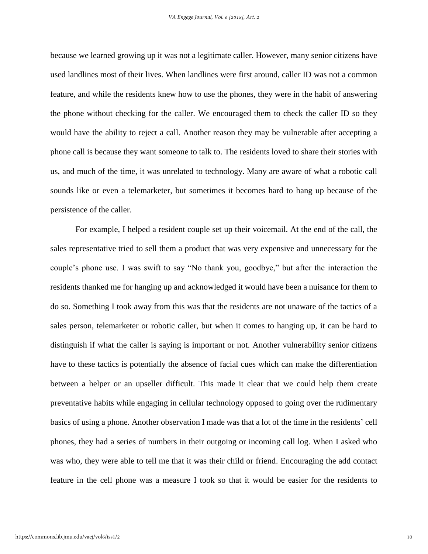because we learned growing up it was not a legitimate caller. However, many senior citizens have used landlines most of their lives. When landlines were first around, caller ID was not a common feature, and while the residents knew how to use the phones, they were in the habit of answering the phone without checking for the caller. We encouraged them to check the caller ID so they would have the ability to reject a call. Another reason they may be vulnerable after accepting a phone call is because they want someone to talk to. The residents loved to share their stories with us, and much of the time, it was unrelated to technology. Many are aware of what a robotic call sounds like or even a telemarketer, but sometimes it becomes hard to hang up because of the persistence of the caller.

For example, I helped a resident couple set up their voicemail. At the end of the call, the sales representative tried to sell them a product that was very expensive and unnecessary for the couple's phone use. I was swift to say "No thank you, goodbye," but after the interaction the residents thanked me for hanging up and acknowledged it would have been a nuisance for them to do so. Something I took away from this was that the residents are not unaware of the tactics of a sales person, telemarketer or robotic caller, but when it comes to hanging up, it can be hard to distinguish if what the caller is saying is important or not. Another vulnerability senior citizens have to these tactics is potentially the absence of facial cues which can make the differentiation between a helper or an upseller difficult. This made it clear that we could help them create preventative habits while engaging in cellular technology opposed to going over the rudimentary basics of using a phone. Another observation I made was that a lot of the time in the residents' cell phones, they had a series of numbers in their outgoing or incoming call log. When I asked who was who, they were able to tell me that it was their child or friend. Encouraging the add contact feature in the cell phone was a measure I took so that it would be easier for the residents to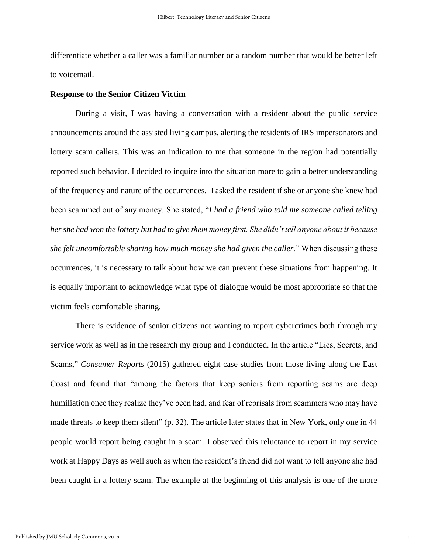differentiate whether a caller was a familiar number or a random number that would be better left to voicemail.

#### **Response to the Senior Citizen Victim**

During a visit, I was having a conversation with a resident about the public service announcements around the assisted living campus, alerting the residents of IRS impersonators and lottery scam callers. This was an indication to me that someone in the region had potentially reported such behavior. I decided to inquire into the situation more to gain a better understanding of the frequency and nature of the occurrences. I asked the resident if she or anyone she knew had been scammed out of any money. She stated, "*I had a friend who told me someone called telling her she had won the lottery but had to give them money first. She didn't tell anyone about it because she felt uncomfortable sharing how much money she had given the caller.*" When discussing these occurrences, it is necessary to talk about how we can prevent these situations from happening. It is equally important to acknowledge what type of dialogue would be most appropriate so that the victim feels comfortable sharing.

There is evidence of senior citizens not wanting to report cybercrimes both through my service work as well as in the research my group and I conducted. In the article "Lies, Secrets, and Scams," *Consumer Reports* (2015) gathered eight case studies from those living along the East Coast and found that "among the factors that keep seniors from reporting scams are deep humiliation once they realize they've been had, and fear of reprisals from scammers who may have made threats to keep them silent" (p. 32). The article later states that in New York, only one in 44 people would report being caught in a scam. I observed this reluctance to report in my service work at Happy Days as well such as when the resident's friend did not want to tell anyone she had been caught in a lottery scam. The example at the beginning of this analysis is one of the more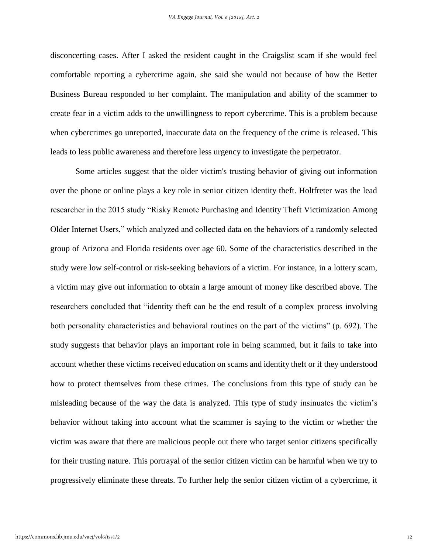disconcerting cases. After I asked the resident caught in the Craigslist scam if she would feel comfortable reporting a cybercrime again, she said she would not because of how the Better Business Bureau responded to her complaint. The manipulation and ability of the scammer to create fear in a victim adds to the unwillingness to report cybercrime. This is a problem because when cybercrimes go unreported, inaccurate data on the frequency of the crime is released. This leads to less public awareness and therefore less urgency to investigate the perpetrator.

Some articles suggest that the older victim's trusting behavior of giving out information over the phone or online plays a key role in senior citizen identity theft. Holtfreter was the lead researcher in the 2015 study "Risky Remote Purchasing and Identity Theft Victimization Among Older Internet Users," which analyzed and collected data on the behaviors of a randomly selected group of Arizona and Florida residents over age 60. Some of the characteristics described in the study were low self-control or risk-seeking behaviors of a victim. For instance, in a lottery scam, a victim may give out information to obtain a large amount of money like described above. The researchers concluded that "identity theft can be the end result of a complex process involving both personality characteristics and behavioral routines on the part of the victims" (p. 692). The study suggests that behavior plays an important role in being scammed, but it fails to take into account whether these victims received education on scams and identity theft or if they understood how to protect themselves from these crimes. The conclusions from this type of study can be misleading because of the way the data is analyzed. This type of study insinuates the victim's behavior without taking into account what the scammer is saying to the victim or whether the victim was aware that there are malicious people out there who target senior citizens specifically for their trusting nature. This portrayal of the senior citizen victim can be harmful when we try to progressively eliminate these threats. To further help the senior citizen victim of a cybercrime, it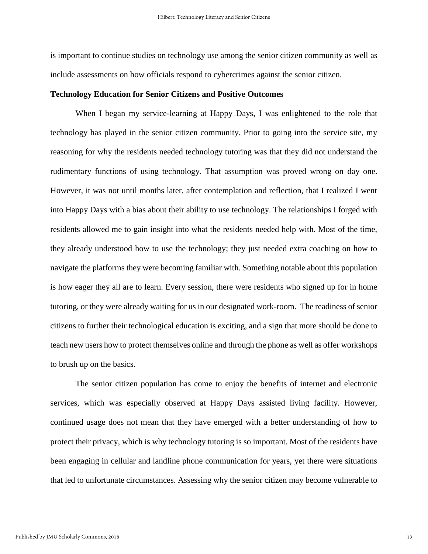is important to continue studies on technology use among the senior citizen community as well as include assessments on how officials respond to cybercrimes against the senior citizen.

#### **Technology Education for Senior Citizens and Positive Outcomes**

When I began my service-learning at Happy Days, I was enlightened to the role that technology has played in the senior citizen community. Prior to going into the service site, my reasoning for why the residents needed technology tutoring was that they did not understand the rudimentary functions of using technology. That assumption was proved wrong on day one. However, it was not until months later, after contemplation and reflection, that I realized I went into Happy Days with a bias about their ability to use technology. The relationships I forged with residents allowed me to gain insight into what the residents needed help with. Most of the time, they already understood how to use the technology; they just needed extra coaching on how to navigate the platforms they were becoming familiar with. Something notable about this population is how eager they all are to learn. Every session, there were residents who signed up for in home tutoring, or they were already waiting for us in our designated work-room. The readiness of senior citizens to further their technological education is exciting, and a sign that more should be done to teach new users how to protect themselves online and through the phone as well as offer workshops to brush up on the basics.

The senior citizen population has come to enjoy the benefits of internet and electronic services, which was especially observed at Happy Days assisted living facility. However, continued usage does not mean that they have emerged with a better understanding of how to protect their privacy, which is why technology tutoring is so important. Most of the residents have been engaging in cellular and landline phone communication for years, yet there were situations that led to unfortunate circumstances. Assessing why the senior citizen may become vulnerable to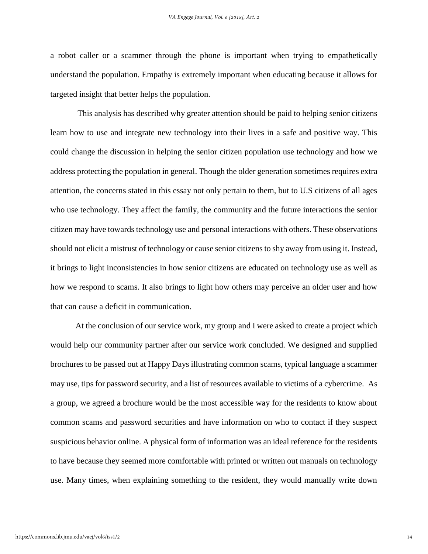a robot caller or a scammer through the phone is important when trying to empathetically understand the population. Empathy is extremely important when educating because it allows for targeted insight that better helps the population.

This analysis has described why greater attention should be paid to helping senior citizens learn how to use and integrate new technology into their lives in a safe and positive way. This could change the discussion in helping the senior citizen population use technology and how we address protecting the population in general. Though the older generation sometimes requires extra attention, the concerns stated in this essay not only pertain to them, but to U.S citizens of all ages who use technology. They affect the family, the community and the future interactions the senior citizen may have towards technology use and personal interactions with others. These observations should not elicit a mistrust of technology or cause senior citizens to shy away from using it. Instead, it brings to light inconsistencies in how senior citizens are educated on technology use as well as how we respond to scams. It also brings to light how others may perceive an older user and how that can cause a deficit in communication.

At the conclusion of our service work, my group and I were asked to create a project which would help our community partner after our service work concluded. We designed and supplied brochures to be passed out at Happy Days illustrating common scams, typical language a scammer may use, tips for password security, and a list of resources available to victims of a cybercrime. As a group, we agreed a brochure would be the most accessible way for the residents to know about common scams and password securities and have information on who to contact if they suspect suspicious behavior online. A physical form of information was an ideal reference for the residents to have because they seemed more comfortable with printed or written out manuals on technology use. Many times, when explaining something to the resident, they would manually write down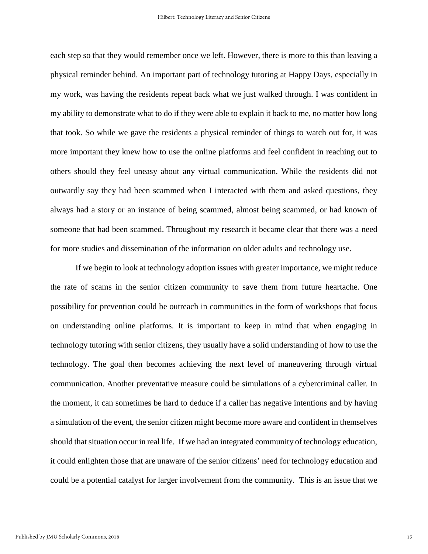each step so that they would remember once we left. However, there is more to this than leaving a physical reminder behind. An important part of technology tutoring at Happy Days, especially in my work, was having the residents repeat back what we just walked through. I was confident in my ability to demonstrate what to do if they were able to explain it back to me, no matter how long that took. So while we gave the residents a physical reminder of things to watch out for, it was more important they knew how to use the online platforms and feel confident in reaching out to others should they feel uneasy about any virtual communication. While the residents did not outwardly say they had been scammed when I interacted with them and asked questions, they always had a story or an instance of being scammed, almost being scammed, or had known of someone that had been scammed. Throughout my research it became clear that there was a need for more studies and dissemination of the information on older adults and technology use.

If we begin to look at technology adoption issues with greater importance, we might reduce the rate of scams in the senior citizen community to save them from future heartache. One possibility for prevention could be outreach in communities in the form of workshops that focus on understanding online platforms. It is important to keep in mind that when engaging in technology tutoring with senior citizens, they usually have a solid understanding of how to use the technology. The goal then becomes achieving the next level of maneuvering through virtual communication. Another preventative measure could be simulations of a cybercriminal caller. In the moment, it can sometimes be hard to deduce if a caller has negative intentions and by having a simulation of the event, the senior citizen might become more aware and confident in themselves should that situation occur in real life. If we had an integrated community of technology education, it could enlighten those that are unaware of the senior citizens' need for technology education and could be a potential catalyst for larger involvement from the community. This is an issue that we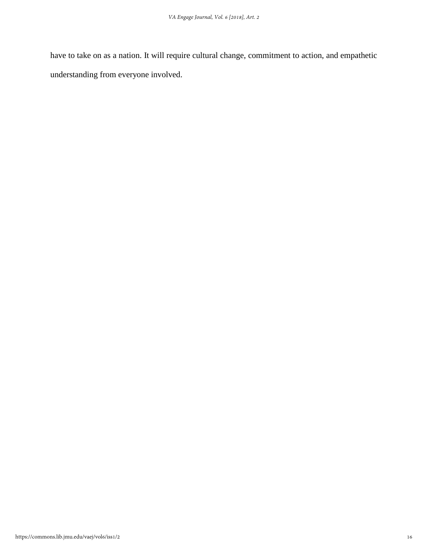have to take on as a nation. It will require cultural change, commitment to action, and empathetic understanding from everyone involved.